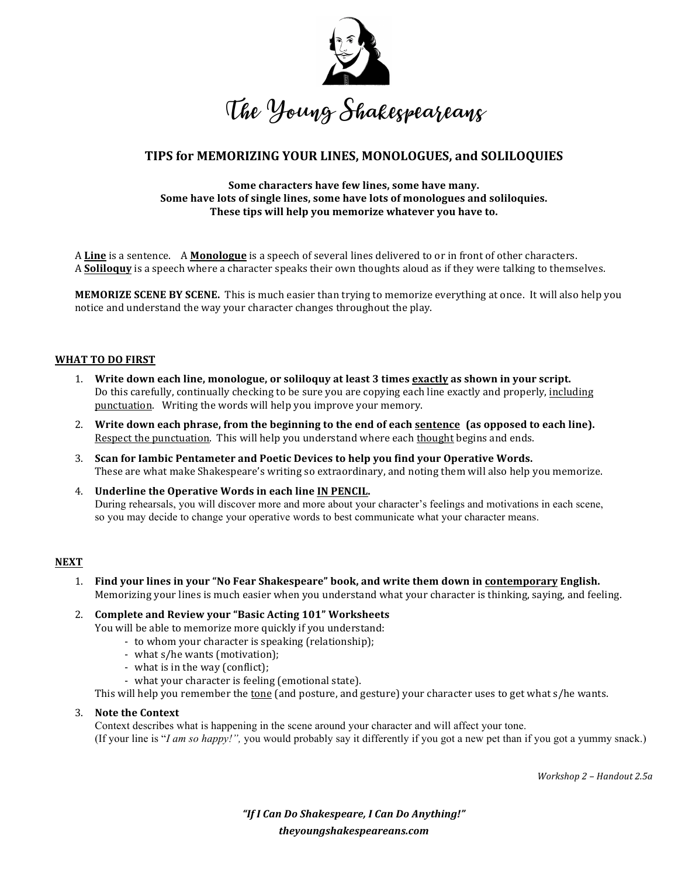

# **TIPS for MEMORIZING YOUR LINES, MONOLOGUES, and SOLILOQUIES**

### Some characters have few lines, some have many. **Some have lots of single lines, some have lots of monologues and soliloquies.** These tips will help you memorize whatever you have to.

A **Line** is a sentence. A **Monologue** is a speech of several lines delivered to or in front of other characters. A **Soliloquy** is a speech where a character speaks their own thoughts aloud as if they were talking to themselves.

**MEMORIZE SCENE BY SCENE.** This is much easier than trying to memorize everything at once. It will also help you notice and understand the way your character changes throughout the play.

## **WHAT TO DO FIRST**

- 1. Write down each line, monologue, or soliloquy at least 3 times exactly as shown in your script. Do this carefully, continually checking to be sure you are copying each line exactly and properly, including punctuation. Writing the words will help you improve your memory.
- 2. Write down each phrase, from the beginning to the end of each <u>sentence</u> (as opposed to each line). Respect the punctuation. This will help you understand where each thought begins and ends.
- 3. Scan for lambic Pentameter and Poetic Devices to help you find your Operative Words. These are what make Shakespeare's writing so extraordinary, and noting them will also help you memorize.
- 4. Underline the Operative Words in each line IN PENCIL. During rehearsals, you will discover more and more about your character's feelings and motivations in each scene, so you may decide to change your operative words to best communicate what your character means.

## **NEXT**

1. Find your lines in your "No Fear Shakespeare" book, and write them down in contemporary English. Memorizing your lines is much easier when you understand what your character is thinking, saying, and feeling.

## 2. Complete and Review your "Basic Acting 101" Worksheets

You will be able to memorize more quickly if you understand:

- to whom your character is speaking (relationship);
- what s/he wants (motivation);
- what is in the way (conflict);
- what your character is feeling (emotional state).

This will help you remember the  $tone$  (and posture, and gesture) your character uses to get what  $s/he$  wants.</u>

## 3. Note the Context

Context describes what is happening in the scene around your character and will affect your tone. (If your line is "*I am so happy!",* you would probably say it differently if you got a new pet than if you got a yummy snack.)

*Workshop 2 – Handout 2.5a*

*"If I Can Do Shakespeare, I Can Do Anything!" theyoungshakespeareans.com*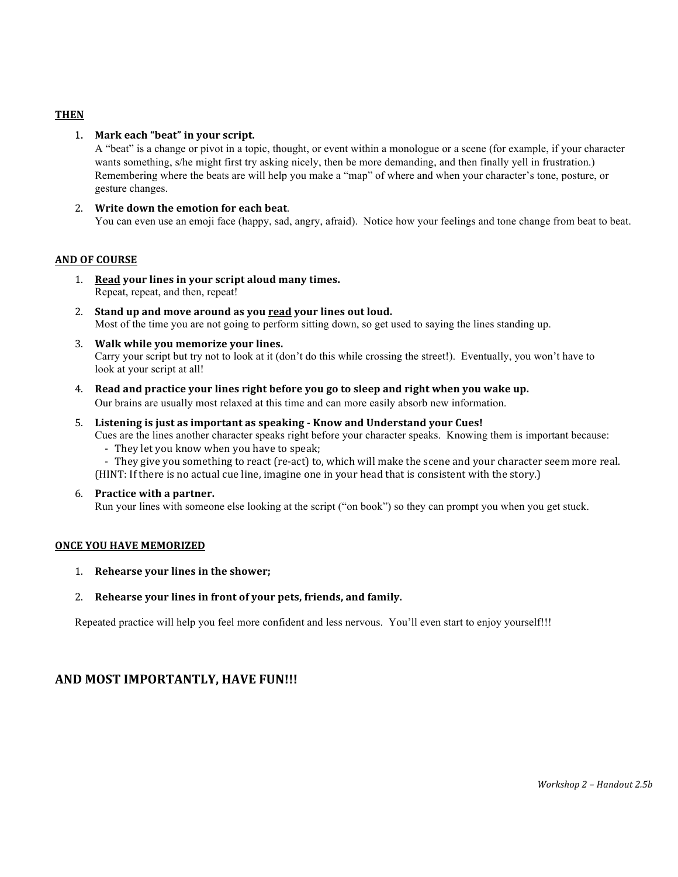## **THEN**

## 1. Mark each "beat" in your script.

A "beat" is a change or pivot in a topic, thought, or event within a monologue or a scene (for example, if your character wants something, s/he might first try asking nicely, then be more demanding, and then finally yell in frustration.) Remembering where the beats are will help you make a "map" of where and when your character's tone, posture, or gesture changes.

## 2. Write down the emotion for each beat.

You can even use an emoji face (happy, sad, angry, afraid). Notice how your feelings and tone change from beat to beat.

## **AND OF COURSE**

- 1. Read your lines in your script aloud many times. Repeat, repeat, and then, repeat!
- 2. Stand up and move around as you read your lines out loud. Most of the time you are not going to perform sitting down, so get used to saying the lines standing up.
- 3. **Walk while you memorize your lines.** Carry your script but try not to look at it (don't do this while crossing the street!). Eventually, you won't have to look at your script at all!
- 4. Read and practice your lines right before you go to sleep and right when you wake up. Our brains are usually most relaxed at this time and can more easily absorb new information.
- 5. Listening is just as important as speaking Know and Understand your Cues!
	- Cues are the lines another character speaks right before your character speaks. Knowing them is important because: - They let you know when you have to speak;
	- They give you something to react (re-act) to, which will make the scene and your character seem more real. (HINT: If there is no actual cue line, imagine one in your head that is consistent with the story.)
- 6. **Practice with a partner.**

Run your lines with someone else looking at the script ("on book") so they can prompt you when you get stuck.

## **ONCE YOU HAVE MEMORIZED**

- 1. **Rehearse your lines in the shower;**
- 2. Rehearse your lines in front of your pets, friends, and family.

Repeated practice will help you feel more confident and less nervous. You'll even start to enjoy yourself!!!

## **AND MOST IMPORTANTLY, HAVE FUN!!!**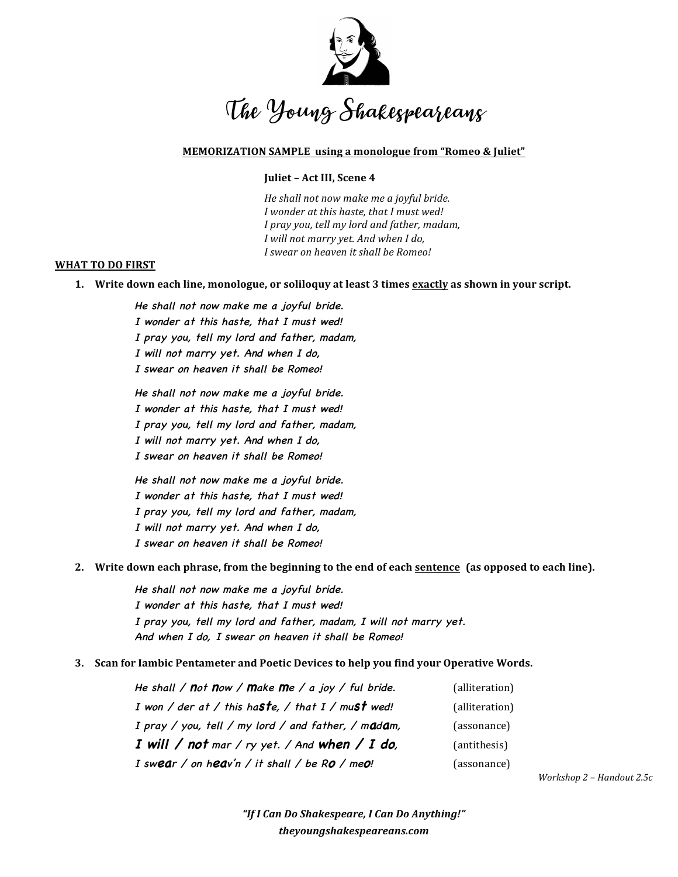

## **MEMORIZATION SAMPLE** using a monologue from "Romeo & Juliet"

## **Juliet - Act III, Scene 4**

*He shall not now make me a joyful bride. I wonder at this haste, that I must wed! I* pray you, tell my lord and father, madam, *I will not marry yet. And when I do, I swear on heaven it shall be Romeo!*

#### WHAT TO DO FIRST

**1.** Write down each line, monologue, or soliloquy at least 3 times exactly as shown in your script.

He shall not now make me a joyful bride. I wonder at this haste, that I must wed! I pray you, tell my lord and father, madam, I will not marry yet. And when I do, I swear on heaven it shall be Romeo!

He shall not now make me a joyful bride. I wonder at this haste, that I must wed! I pray you, tell my lord and father, madam, I will not marry yet. And when I do, I swear on heaven it shall be Romeo!

He shall not now make me a joyful bride. I wonder at this haste, that I must wed! I pray you, tell my lord and father, madam, I will not marry yet. And when I do, I swear on heaven it shall be Romeo!

2. Write down each phrase, from the beginning to the end of each **sentence** (as opposed to each line).

He shall not now make me a joyful bride. I wonder at this haste, that I must wed! I pray you, tell my lord and father, madam, I will not marry yet. And when I do, I swear on heaven it shall be Romeo!

**3. Scan for lambic Pentameter and Poetic Devices to help you find your Operative Words.** 

| He shall / not now / make me / a joy / ful bride.   | (alliteration) |
|-----------------------------------------------------|----------------|
| I won / der at / this haste, / that $I$ / must wed! | (alliteration) |
| I pray / you, tell / my lord / and father, / madam, | (assonance)    |
| I will / not mar / ry yet. / And when / I do,       | (antithesis)   |
| I swear / on heav'n / it shall / be $RQ$ / me $Q$ ! | (assonance)    |

*Workshop 2 – Handout 2.5c*

*"If I Can Do Shakespeare, I Can Do Anything!" theyoungshakespeareans.com*